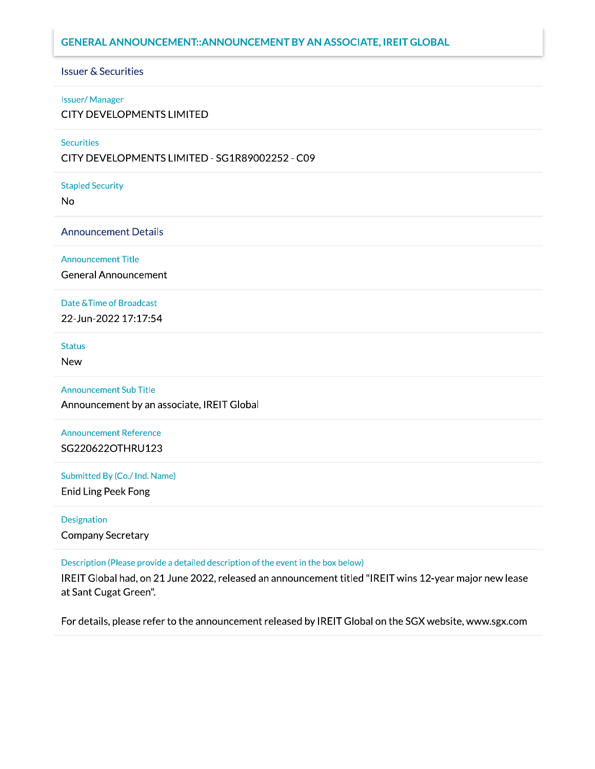#### **GENERAL ANNOUNCEMENT:: ANNOUNCEMENT BY AN ASSOCIATE, IREIT GLOBAL**

#### **Issuer & Securities**

#### **Issuer/Manager**

**CITY DEVELOPMENTS LIMITED** 

#### **Securities**

CITY DEVELOPMENTS LIMITED - SG1R89002252 - C09

#### **Stapled Security**

No

#### **Announcement Details**

**Announcement Title** 

**General Announcement** 

#### Date & Time of Broadcast

22-Jun-2022 17:17:54

#### **Status**

**New** 

#### **Announcement Sub Title**

Announcement by an associate, IREIT Global

#### **Announcement Reference** SG220622OTHRU123

#### Submitted By (Co./ Ind. Name)

**Enid Ling Peek Fong** 

#### **Designation**

**Company Secretary** 

#### Description (Please provide a detailed description of the event in the box below)

IREIT Global had, on 21 June 2022, released an announcement titled "IREIT wins 12-year major new lease at Sant Cugat Green".

For details, please refer to the announcement released by IREIT Global on the SGX website, www.sgx.com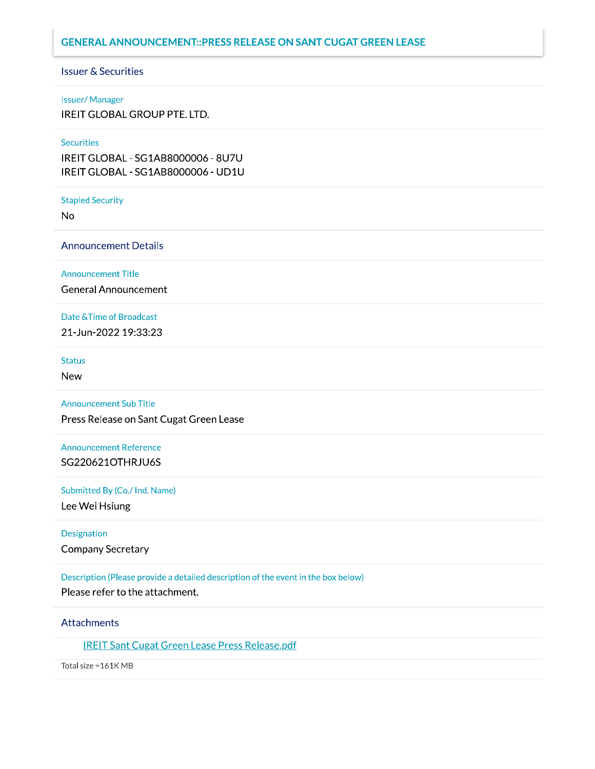#### **GENERAL ANNOUNCEMENT:: PRESS RELEASE ON SANT CUGAT GREEN LEASE**

#### **Issuer & Securities**

#### **Issuer/Manager**

**IREIT GLOBAL GROUP PTE. LTD.** 

#### **Securities**

IREIT GLOBAL - SG1AB8000006 - 8U7U IREIT GLOBAL - SG1AB8000006 - UD1U

#### **Stapled Security**

**No** 

#### **Announcement Details**

**Announcement Title** 

**General Announcement** 

#### Date & Time of Broadcast

21-Jun-2022 19:33:23

#### **Status**

**New** 

#### **Announcement Sub Title**

Press Release on Sant Cugat Green Lease

#### **Announcement Reference** SG220621OTHRJU6S

#### Submitted By (Co./ Ind. Name)

Lee Wei Hsiung

# Designation

Company Secretary

#### Description (Please provide a detailed description of the event in the box below)

Please refer to the attachment.

#### **Attachments**

**IREIT Sant Cugat Green Lease Press Release.pdf** 

Total size = 161K MB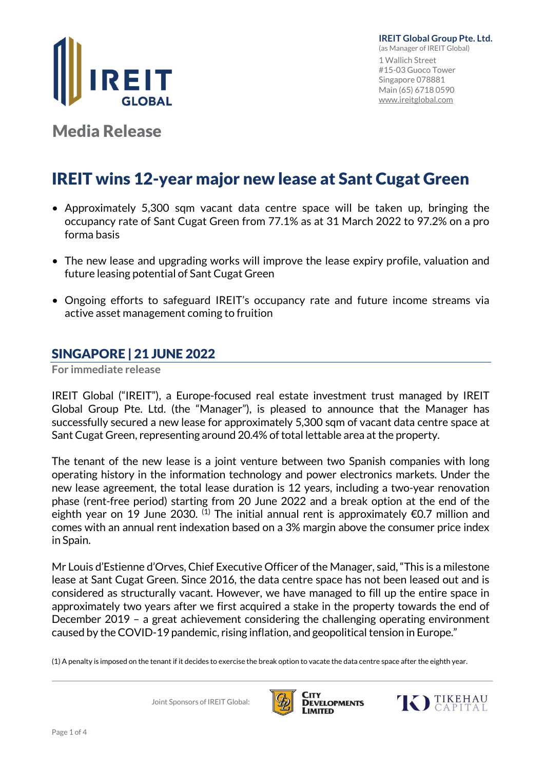

Media Release

# IREIT wins 12-year major new lease at Sant Cugat Green

- Approximately 5,300 sqm vacant data centre space will be taken up, bringing the occupancy rate of Sant Cugat Green from 77.1% as at 31 March 2022 to 97.2% on a pro forma basis
- The new lease and upgrading works will improve the lease expiry profile, valuation and future leasing potential of Sant Cugat Green
- Ongoing efforts to safeguard IREIT's occupancy rate and future income streams via active asset management coming to fruition

### SINGAPORE | 21 JUNE 2022

**For immediate release**

IREIT Global ("IREIT"), a Europe-focused real estate investment trust managed by IREIT Global Group Pte. Ltd. (the "Manager"), is pleased to announce that the Manager has successfully secured a new lease for approximately 5,300 sqm of vacant data centre space at Sant Cugat Green, representing around 20.4% of total lettable area at the property.

The tenant of the new lease is a joint venture between two Spanish companies with long operating history in the information technology and power electronics markets. Under the new lease agreement, the total lease duration is 12 years, including a two-year renovation phase (rent-free period) starting from 20 June 2022 and a break option at the end of the eighth year on 19 June 2030.  $^{(1)}$  The initial annual rent is approximately €0.7 million and comes with an annual rent indexation based on a 3% margin above the consumer price index in Spain.

Mr Louis d'Estienne d'Orves, Chief Executive Officer of the Manager, said, "This is a milestone lease at Sant Cugat Green. Since 2016, the data centre space has not been leased out and is considered as structurally vacant. However, we have managed to fill up the entire space in approximately two years after we first acquired a stake in the property towards the end of December 2019 – a great achievement considering the challenging operating environment caused by the COVID-19 pandemic, rising inflation, and geopolitical tension in Europe."

(1) A penalty is imposed on the tenant if it decides to exercise the break option to vacate the data centre space after the eighth year.

Joint Sponsors of IREIT Global:



City **DEVELOPMENTS** LIMITED

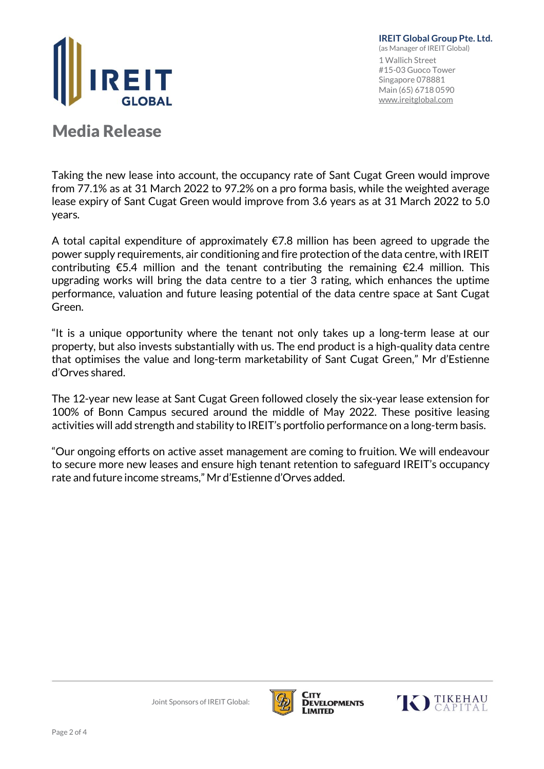

**IREIT Global Group Pte. Ltd.** (as Manager of IREIT Global) 1 Wallich Street #15-03 Guoco Tower Singapore 078881 Main (65) 6718 0590 [www.ireitglobal.com](http://www.ireitglobal.com/)

## Media Release

Taking the new lease into account, the occupancy rate of Sant Cugat Green would improve from 77.1% as at 31 March 2022 to 97.2% on a pro forma basis, while the weighted average lease expiry of Sant Cugat Green would improve from 3.6 years as at 31 March 2022 to 5.0 years.

A total capital expenditure of approximately  $\epsilon$ 7.8 million has been agreed to upgrade the power supply requirements, air conditioning and fire protection of the data centre, with IREIT contributing  $\epsilon$ 5.4 million and the tenant contributing the remaining  $\epsilon$ 2.4 million. This upgrading works will bring the data centre to a tier 3 rating, which enhances the uptime performance, valuation and future leasing potential of the data centre space at Sant Cugat Green.

"It is a unique opportunity where the tenant not only takes up a long-term lease at our property, but also invests substantially with us. The end product is a high-quality data centre that optimises the value and long-term marketability of Sant Cugat Green," Mr d'Estienne d'Orves shared.

The 12-year new lease at Sant Cugat Green followed closely the six-year lease extension for 100% of Bonn Campus secured around the middle of May 2022. These positive leasing activities will add strength and stability to IREIT's portfolio performance on a long-term basis.

"Our ongoing efforts on active asset management are coming to fruition. We will endeavour to secure more new leases and ensure high tenant retention to safeguard IREIT's occupancy rate and future income streams," Mr d'Estienne d'Orves added.



City

LIMITED



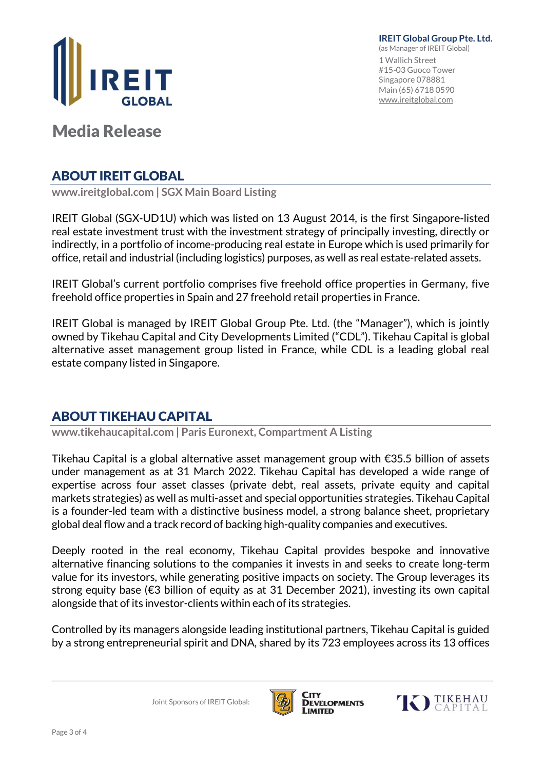

**IREIT Global Group Pte. Ltd.** (as Manager of IREIT Global) 1 Wallich Street #15-03 Guoco Tower Singapore 078881 Main (65) 6718 0590 [www.ireitglobal.com](http://www.ireitglobal.com/)

Media Release

## ABOUT IREIT GLOBAL

**www.ireitglobal.com | SGX Main Board Listing**

IREIT Global (SGX-UD1U) which was listed on 13 August 2014, is the first Singapore-listed real estate investment trust with the investment strategy of principally investing, directly or indirectly, in a portfolio of income-producing real estate in Europe which is used primarily for office, retail and industrial (including logistics) purposes, as well as real estate-related assets.

IREIT Global's current portfolio comprises five freehold office properties in Germany, five freehold office properties in Spain and 27 freehold retail properties in France.

IREIT Global is managed by IREIT Global Group Pte. Ltd. (the "Manager"), which is jointly owned by Tikehau Capital and City Developments Limited ("CDL"). Tikehau Capital is global alternative asset management group listed in France, while CDL is a leading global real estate company listed in Singapore.

## ABOUT TIKEHAU CAPITAL

**www.tikehaucapital.com | Paris Euronext, Compartment A Listing**

Tikehau Capital is a global alternative asset management group with €35.5 billion of assets under management as at 31 March 2022. Tikehau Capital has developed a wide range of expertise across four asset classes (private debt, real assets, private equity and capital markets strategies) as well as multi-asset and special opportunities strategies. Tikehau Capital is a founder-led team with a distinctive business model, a strong balance sheet, proprietary global deal flow and a track record of backing high-quality companies and executives.

Deeply rooted in the real economy, Tikehau Capital provides bespoke and innovative alternative financing solutions to the companies it invests in and seeks to create long-term value for its investors, while generating positive impacts on society. The Group leverages its strong equity base (€3 billion of equity as at 31 December 2021), investing its own capital alongside that of its investor-clients within each of its strategies.

Controlled by its managers alongside leading institutional partners, Tikehau Capital is guided by a strong entrepreneurial spirit and DNA, shared by its 723 employees across its 13 offices